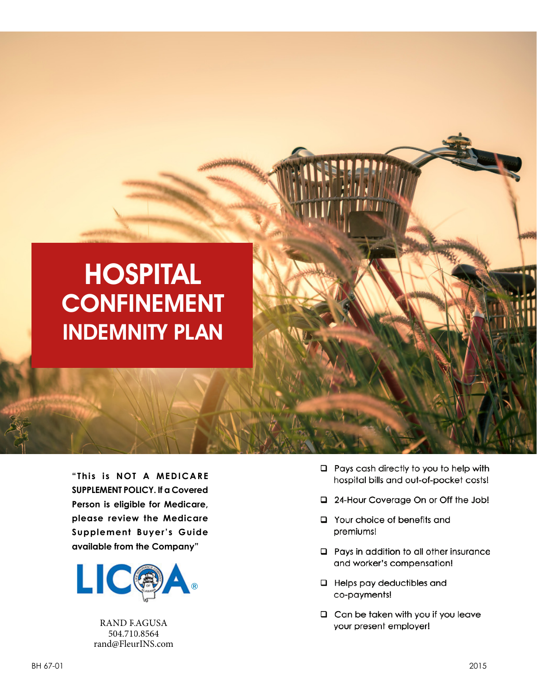# **HOSPITAL CONFINEMENT** INDEMNITY PLAN

**"This is NOT A MEDICARE SUPPLEMENT POLICY. If a Covered Person is eligible for Medicare, please review the Medicare Supplement Buyer's Guide available from the Company"**



RAND RAGUSA 504.710.8564 rand@FleurINS.com

- $\Box$  Pays cash directly to you to help with hospital bills and out-of-pocket costs!
- □ 24-Hour Coverage On or Off the Job!
- □ Your choice of benefits and premiums!
- $\Box$  Pays in addition to all other insurance and worker's compensation!
- $\Box$  Helps pay deductibles and co-payments!
- $\Box$  Can be taken with you if you leave your present employer!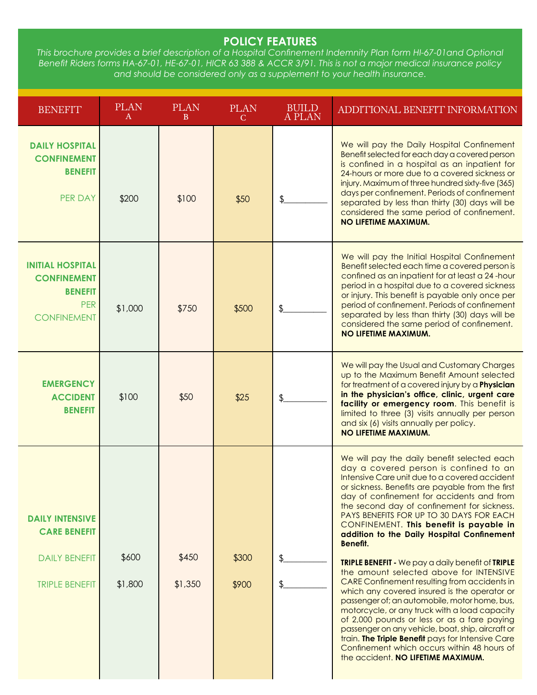## **POLICY FEATURES**

*This brochure provides a brief description of a Hospital Confinement Indemnity Plan form HI-67-01and Optional Benefi t Riders forms HA-67-01, HE-67-01, HICR 63 388 & ACCR 3/91. This is not a major medical insurance policy and should be considered only as a supplement to your health insurance.*

| <b>BENEFIT</b>                                                                                      | <b>PLAN</b><br>A | <b>PLAN</b><br>B. | <b>PLAN</b><br>C. | <b>BUILD</b><br>A PLAN | ADDITIONAL BENEFIT INFORMATION                                                                                                                                                                                                                                                                                                                                                                                                                                                                                                                                                                                                                                                                                                                                                                                                                                                                                                                                                          |
|-----------------------------------------------------------------------------------------------------|------------------|-------------------|-------------------|------------------------|-----------------------------------------------------------------------------------------------------------------------------------------------------------------------------------------------------------------------------------------------------------------------------------------------------------------------------------------------------------------------------------------------------------------------------------------------------------------------------------------------------------------------------------------------------------------------------------------------------------------------------------------------------------------------------------------------------------------------------------------------------------------------------------------------------------------------------------------------------------------------------------------------------------------------------------------------------------------------------------------|
| <b>DAILY HOSPITAL</b><br><b>CONFINEMENT</b><br><b>BENEFIT</b><br>PER DAY                            | \$200            | \$100             | \$50              | \$                     | We will pay the Daily Hospital Confinement<br>Benefit selected for each day a covered person<br>is confined in a hospital as an inpatient for<br>24-hours or more due to a covered sickness or<br>injury. Maximum of three hundred sixty-five (365)<br>days per confinement. Periods of confinement<br>separated by less than thirty (30) days will be<br>considered the same period of confinement.<br>NO LIFETIME MAXIMUM.                                                                                                                                                                                                                                                                                                                                                                                                                                                                                                                                                            |
| <b>INITIAL HOSPITAL</b><br><b>CONFINEMENT</b><br><b>BENEFIT</b><br><b>PER</b><br><b>CONFINEMENT</b> | \$1,000          | \$750             | \$500             | \$                     | We will pay the Initial Hospital Confinement<br>Benefit selected each time a covered person is<br>confined as an inpatient for at least a 24-hour<br>period in a hospital due to a covered sickness<br>or injury. This benefit is payable only once per<br>period of confinement. Periods of confinement<br>separated by less than thirty (30) days will be<br>considered the same period of confinement.<br>NO LIFETIME MAXIMUM.                                                                                                                                                                                                                                                                                                                                                                                                                                                                                                                                                       |
| <b>EMERGENCY</b><br><b>ACCIDENT</b><br><b>BENEFIT</b>                                               | \$100            | \$50              | \$25              |                        | We will pay the Usual and Customary Charges<br>up to the Maximum Benefit Amount selected<br>for treatment of a covered injury by a Physician<br>in the physician's office, clinic, urgent care<br>facility or emergency room. This benefit is<br>limited to three (3) visits annually per person<br>and six (6) visits annually per policy.<br>NO LIFETIME MAXIMUM.                                                                                                                                                                                                                                                                                                                                                                                                                                                                                                                                                                                                                     |
| <b>DAILY INTENSIVE</b><br><b>CARE BENEFIT</b><br><b>DAILY BENEFIT</b><br><b>TRIPLE BENEFIT</b>      | \$600<br>\$1,800 | \$450<br>\$1,350  | \$300<br>\$900    | \$<br>\$               | We will pay the daily benefit selected each<br>day a covered person is confined to an<br>Intensive Care unit due to a covered accident<br>or sickness. Benefits are payable from the first<br>day of confinement for accidents and from<br>the second day of confinement for sickness.<br>PAYS BENEFITS FOR UP TO 30 DAYS FOR EACH<br>CONFINEMENT. This benefit is payable in<br>addition to the Daily Hospital Confinement<br>Benefit.<br>TRIPLE BENEFIT - We pay a daily benefit of TRIPLE<br>the amount selected above for INTENSIVE<br>CARE Confinement resulting from accidents in<br>which any covered insured is the operator or<br>passenger of; an automobile, motor home, bus,<br>motorcycle, or any truck with a load capacity<br>of 2,000 pounds or less or as a fare paying<br>passenger on any vehicle, boat, ship, aircraft or<br>train. The Triple Benefit pays for Intensive Care<br>Confinement which occurs within 48 hours of<br>the accident. NO LIFETIME MAXIMUM. |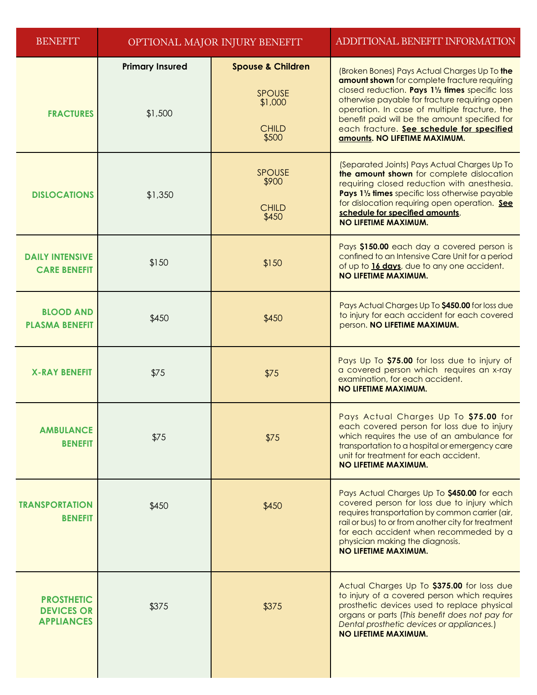| <b>BENEFIT</b>                                              |                                   | OPTIONAL MAJOR INJURY BENEFIT                                                     | ADDITIONAL BENEFIT INFORMATION                                                                                                                                                                                                                                                                                                                                                  |  |
|-------------------------------------------------------------|-----------------------------------|-----------------------------------------------------------------------------------|---------------------------------------------------------------------------------------------------------------------------------------------------------------------------------------------------------------------------------------------------------------------------------------------------------------------------------------------------------------------------------|--|
| <b>FRACTURES</b>                                            | <b>Primary Insured</b><br>\$1,500 | <b>Spouse &amp; Children</b><br><b>SPOUSE</b><br>\$1,000<br><b>CHILD</b><br>\$500 | (Broken Bones) Pays Actual Charges Up To the<br>amount shown for complete fracture requiring<br>closed reduction. Pays 11/2 times specific loss<br>otherwise payable for fracture requiring open<br>operation. In case of multiple fracture, the<br>benefit paid will be the amount specified for<br>each fracture. See schedule for specified<br>amounts. NO LIFETIME MAXIMUM. |  |
| <b>DISLOCATIONS</b>                                         | \$1,350                           | <b>SPOUSE</b><br>\$900<br><b>CHILD</b><br>\$450                                   | (Separated Joints) Pays Actual Charges Up To<br>the amount shown for complete dislocation<br>requiring closed reduction with anesthesia.<br>Pays 11/2 times specific loss otherwise payable<br>for dislocation requiring open operation. See<br>schedule for specified amounts.<br><b>NO LIFETIME MAXIMUM.</b>                                                                  |  |
| <b>DAILY INTENSIVE</b><br><b>CARE BENEFIT</b>               | \$150                             | \$150                                                                             | Pays \$150.00 each day a covered person is<br>confined to an Intensive Care Unit for a period<br>of up to 16 days, due to any one accident.<br>NO LIFETIME MAXIMUM.                                                                                                                                                                                                             |  |
| <b>BLOOD AND</b><br><b>PLASMA BENEFIT</b>                   | \$450                             | \$450                                                                             | Pays Actual Charges Up To \$450.00 for loss due<br>to injury for each accident for each covered<br>person. NO LIFETIME MAXIMUM.                                                                                                                                                                                                                                                 |  |
| <b>X-RAY BENEFIT</b>                                        | \$75                              | \$75                                                                              | Pays Up To \$75.00 for loss due to injury of<br>a covered person which requires an x-ray<br>examination, for each accident.<br>NO LIFETIME MAXIMUM.                                                                                                                                                                                                                             |  |
| <b>AMBULANCE</b><br><b>BENEFIT</b>                          | \$75                              | \$75                                                                              | Pays Actual Charges Up To \$75.00 for<br>each covered person for loss due to injury<br>which requires the use of an ambulance for<br>transportation to a hospital or emergency care<br>unit for treatment for each accident.<br>NO LIFETIME MAXIMUM.                                                                                                                            |  |
| <b>TRANSPORTATION</b><br><b>BENEFIT</b>                     | \$450                             | \$450                                                                             | Pays Actual Charges Up To \$450.00 for each<br>covered person for loss due to injury which<br>requires transportation by common carrier (air,<br>rail or bus) to or from another city for treatment<br>for each accident when recommeded by a<br>physician making the diagnosis.<br>NO LIFETIME MAXIMUM.                                                                        |  |
| <b>PROSTHETIC</b><br><b>DEVICES OR</b><br><b>APPLIANCES</b> | \$375                             | \$375                                                                             | Actual Charges Up To \$375.00 for loss due<br>to injury of a covered person which requires<br>prosthetic devices used to replace physical<br>organs or parts (This benefit does not pay for<br>Dental prosthetic devices or appliances.)<br>NO LIFETIME MAXIMUM.                                                                                                                |  |